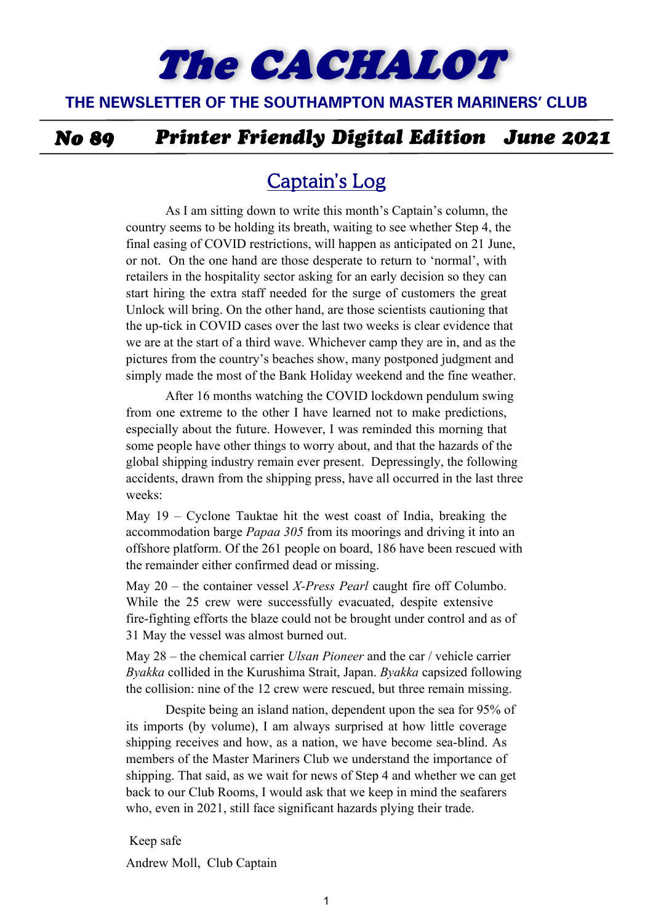# The CACHALOT

# **THE NEWSLETTER OF THE SOUTHAMPTON MASTER MARINERS' CLUB**

#### *Printer Friendly Digital Edition June 2021* **No 89**

# **Captain's Log**

As I am sitting down to write this month's Captain's column, the country seems to be holding its breath, waiting to see whether Step 4, the final easing of COVID restrictions, will happen as anticipated on 21 June, or not. On the one hand are those desperate to return to 'normal', with retailers in the hospitality sector asking for an early decision so they can start hiring the extra staff needed for the surge of customers the great Unlock will bring. On the other hand, are those scientists cautioning that the up-tick in COVID cases over the last two weeks is clear evidence that we are at the start of a third wave. Whichever camp they are in, and as the pictures from the country's beaches show, many postponed judgment and simply made the most of the Bank Holiday weekend and the fine weather.

After 16 months watching the COVID lockdown pendulum swing from one extreme to the other I have learned not to make predictions, especially about the future. However, I was reminded this morning that some people have other things to worry about, and that the hazards of the global shipping industry remain ever present. Depressingly, the following accidents, drawn from the shipping press, have all occurred in the last three weeks:

May 19 – Cyclone Tauktae hit the west coast of India, breaking the accommodation barge *Papaa 305* from its moorings and driving it into an offshore platform. Of the 261 people on board, 186 have been rescued with the remainder either confirmed dead or missing.

May 20 – the container vessel *X-Press Pearl* caught fire off Columbo. While the 25 crew were successfully evacuated, despite extensive fire-fighting efforts the blaze could not be brought under control and as of 31 May the vessel was almost burned out.

May 28 – the chemical carrier *Ulsan Pioneer* and the car / vehicle carrier *Byakka* collided in the Kurushima Strait, Japan. *Byakka* capsized following the collision: nine of the 12 crew were rescued, but three remain missing.

Despite being an island nation, dependent upon the sea for 95% of its imports (by volume), I am always surprised at how little coverage shipping receives and how, as a nation, we have become sea-blind. As members of the Master Mariners Club we understand the importance of shipping. That said, as we wait for news of Step 4 and whether we can get back to our Club Rooms, I would ask that we keep in mind the seafarers who, even in 2021, still face significant hazards plying their trade.

 Keep safe Andrew Moll, Club Captain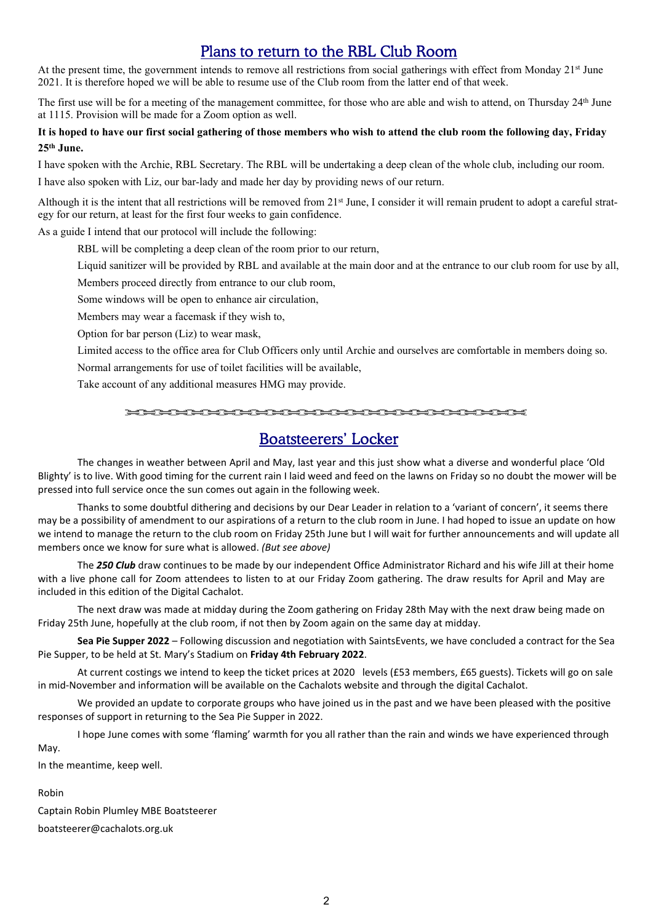# Plans to return to the RBL Club Room

At the present time, the government intends to remove all restrictions from social gatherings with effect from Monday 21<sup>st</sup> June 2021. It is therefore hoped we will be able to resume use of the Club room from the latter end of that week.

The first use will be for a meeting of the management committee, for those who are able and wish to attend, on Thursday 24<sup>th</sup> June at 1115. Provision will be made for a Zoom option as well.

### **It is hoped to have our first social gathering of those members who wish to attend the club room the following day, Friday 25th June.**

I have spoken with the Archie, RBL Secretary. The RBL will be undertaking a deep clean of the whole club, including our room.

I have also spoken with Liz, our bar-lady and made her day by providing news of our return.

Although it is the intent that all restrictions will be removed from 21st June, I consider it will remain prudent to adopt a careful strategy for our return, at least for the first four weeks to gain confidence.

As a guide I intend that our protocol will include the following:

RBL will be completing a deep clean of the room prior to our return,

 Liquid sanitizer will be provided by RBL and available at the main door and at the entrance to our club room for use by all, Members proceed directly from entrance to our club room,

Some windows will be open to enhance air circulation,

Members may wear a facemask if they wish to,

Option for bar person (Liz) to wear mask,

Limited access to the office area for Club Officers only until Archie and ourselves are comfortable in members doing so.

Normal arrangements for use of toilet facilities will be available,

Take account of any additional measures HMG may provide.

### 

# **Boatsteerers' Locker**

The changes in weather between April and May, last year and this just show what a diverse and wonderful place 'Old Blighty' is to live. With good timing for the current rain I laid weed and feed on the lawns on Friday so no doubt the mower will be pressed into full service once the sun comes out again in the following week.

Thanks to some doubtful dithering and decisions by our Dear Leader in relation to a 'variant of concern', it seems there may be a possibility of amendment to our aspirations of a return to the club room in June. I had hoped to issue an update on how we intend to manage the return to the club room on Friday 25th June but I will wait for further announcements and will update all members once we know for sure what is allowed. *(But see above)*

The *250 Club* draw continues to be made by our independent Office Administrator Richard and his wife Jill at their home with a live phone call for Zoom attendees to listen to at our Friday Zoom gathering. The draw results for April and May are included in this edition of the Digital Cachalot.

The next draw was made at midday during the Zoom gathering on Friday 28th May with the next draw being made on Friday 25th June, hopefully at the club room, if not then by Zoom again on the same day at midday.

**Sea Pie Supper 2022** – Following discussion and negotiation with SaintsEvents, we have concluded a contract for the Sea Pie Supper, to be held at St. Mary's Stadium on **Friday 4th February 2022**.

At current costings we intend to keep the ticket prices at 2020 levels (£53 members, £65 guests). Tickets will go on sale in mid-November and information will be available on the Cachalots website and through the digital Cachalot.

We provided an update to corporate groups who have joined us in the past and we have been pleased with the positive responses of support in returning to the Sea Pie Supper in 2022.

I hope June comes with some 'flaming' warmth for you all rather than the rain and winds we have experienced through May.

In the meantime, keep well.

Robin

Captain Robin Plumley MBE Boatsteerer boatsteerer@cachalots.org.uk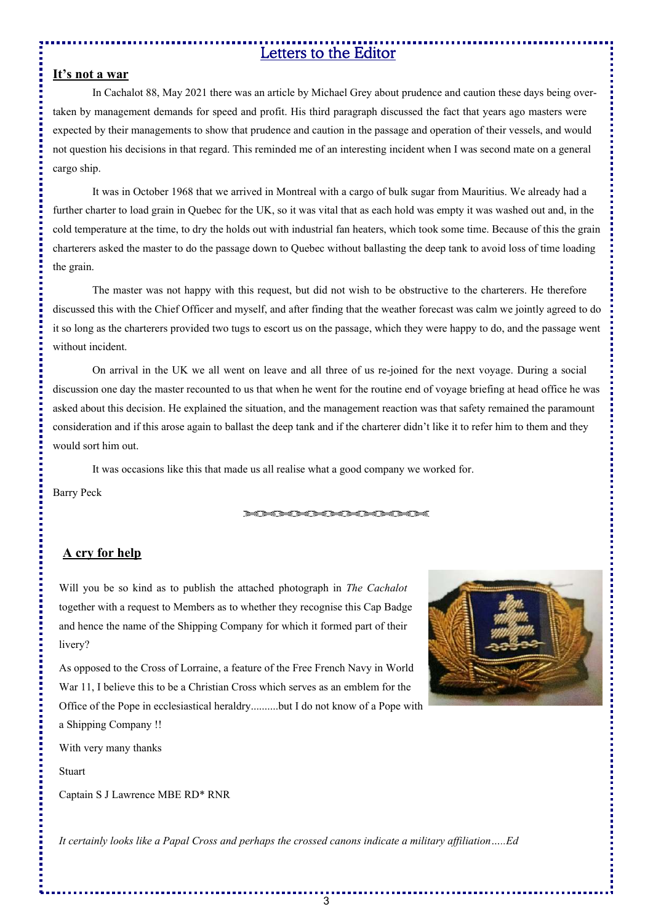# Letters to the Editor

### **It's not a war**

In Cachalot 88, May 2021 there was an article by Michael Grey about prudence and caution these days being overtaken by management demands for speed and profit. His third paragraph discussed the fact that years ago masters were expected by their managements to show that prudence and caution in the passage and operation of their vessels, and would not question his decisions in that regard. This reminded me of an interesting incident when I was second mate on a general cargo ship.

It was in October 1968 that we arrived in Montreal with a cargo of bulk sugar from Mauritius. We already had a further charter to load grain in Quebec for the UK, so it was vital that as each hold was empty it was washed out and, in the cold temperature at the time, to dry the holds out with industrial fan heaters, which took some time. Because of this the grain charterers asked the master to do the passage down to Quebec without ballasting the deep tank to avoid loss of time loading the grain.

The master was not happy with this request, but did not wish to be obstructive to the charterers. He therefore discussed this with the Chief Officer and myself, and after finding that the weather forecast was calm we jointly agreed to do it so long as the charterers provided two tugs to escort us on the passage, which they were happy to do, and the passage went without incident.

On arrival in the UK we all went on leave and all three of us re-joined for the next voyage. During a social discussion one day the master recounted to us that when he went for the routine end of voyage briefing at head office he was asked about this decision. He explained the situation, and the management reaction was that safety remained the paramount consideration and if this arose again to ballast the deep tank and if the charterer didn't like it to refer him to them and they would sort him out.

It was occasions like this that made us all realise what a good company we worked for.

Barry Peck

oomaan

### **A cry for help**

Will you be so kind as to publish the attached photograph in *The Cachalot* together with a request to Members as to whether they recognise this Cap Badge and hence the name of the Shipping Company for which it formed part of their livery?

As opposed to the Cross of Lorraine, a feature of the Free French Navy in World War 11, I believe this to be a Christian Cross which serves as an emblem for the Office of the Pope in ecclesiastical heraldry..........but I do not know of a Pope with a Shipping Company !!

With very many thanks

Stuart

Captain S J Lawrence MBE RD\* RNR



*It certainly looks like a Papal Cross and perhaps the crossed canons indicate a military affiliation…..Ed*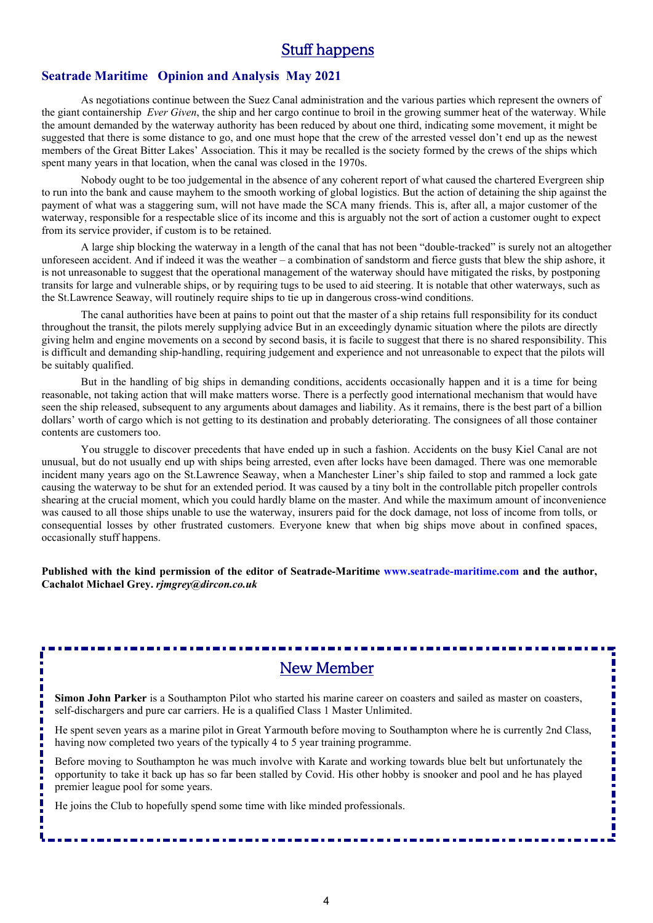### **Seatrade Maritime Opinion and Analysis May 2021**

As negotiations continue between the Suez Canal administration and the various parties which represent the owners of the giant containership *Ever Given*, the ship and her cargo continue to broil in the growing summer heat of the waterway. While the amount demanded by the waterway authority has been reduced by about one third, indicating some movement, it might be suggested that there is some distance to go, and one must hope that the crew of the arrested vessel don't end up as the newest members of the Great Bitter Lakes' Association. This it may be recalled is the society formed by the crews of the ships which spent many years in that location, when the canal was closed in the 1970s.

Nobody ought to be too judgemental in the absence of any coherent report of what caused the chartered Evergreen ship to run into the bank and cause mayhem to the smooth working of global logistics. But the action of detaining the ship against the payment of what was a staggering sum, will not have made the SCA many friends. This is, after all, a major customer of the waterway, responsible for a respectable slice of its income and this is arguably not the sort of action a customer ought to expect from its service provider, if custom is to be retained.

A large ship blocking the waterway in a length of the canal that has not been "double-tracked" is surely not an altogether unforeseen accident. And if indeed it was the weather – a combination of sandstorm and fierce gusts that blew the ship ashore, it is not unreasonable to suggest that the operational management of the waterway should have mitigated the risks, by postponing transits for large and vulnerable ships, or by requiring tugs to be used to aid steering. It is notable that other waterways, such as the St.Lawrence Seaway, will routinely require ships to tie up in dangerous cross-wind conditions.

The canal authorities have been at pains to point out that the master of a ship retains full responsibility for its conduct throughout the transit, the pilots merely supplying advice But in an exceedingly dynamic situation where the pilots are directly giving helm and engine movements on a second by second basis, it is facile to suggest that there is no shared responsibility. This is difficult and demanding ship-handling, requiring judgement and experience and not unreasonable to expect that the pilots will be suitably qualified.

But in the handling of big ships in demanding conditions, accidents occasionally happen and it is a time for being reasonable, not taking action that will make matters worse. There is a perfectly good international mechanism that would have seen the ship released, subsequent to any arguments about damages and liability. As it remains, there is the best part of a billion dollars' worth of cargo which is not getting to its destination and probably deteriorating. The consignees of all those container contents are customers too.

You struggle to discover precedents that have ended up in such a fashion. Accidents on the busy Kiel Canal are not unusual, but do not usually end up with ships being arrested, even after locks have been damaged. There was one memorable incident many years ago on the St.Lawrence Seaway, when a Manchester Liner's ship failed to stop and rammed a lock gate causing the waterway to be shut for an extended period. It was caused by a tiny bolt in the controllable pitch propeller controls shearing at the crucial moment, which you could hardly blame on the master. And while the maximum amount of inconvenience was caused to all those ships unable to use the waterway, insurers paid for the dock damage, not loss of income from tolls, or consequential losses by other frustrated customers. Everyone knew that when big ships move about in confined spaces, occasionally stuff happens.

**Published with the kind permission of the editor of Seatrade-Maritime<www.seatrade-maritime.com> and the author, Cachalot Michael Grey.** *rjmgrey@dircon.co.uk*

# **New Member**

**Simon John Parker** is a Southampton Pilot who started his marine career on coasters and sailed as master on coasters, self-dischargers and pure car carriers. He is a qualified Class 1 Master Unlimited.

He spent seven years as a marine pilot in Great Yarmouth before moving to Southampton where he is currently 2nd Class, having now completed two years of the typically 4 to 5 year training programme.

I

Before moving to Southampton he was much involve with Karate and working towards blue belt but unfortunately the opportunity to take it back up has so far been stalled by Covid. His other hobby is snooker and pool and he has played premier league pool for some years.

He joins the Club to hopefully spend some time with like minded professionals.

i

Î

i

i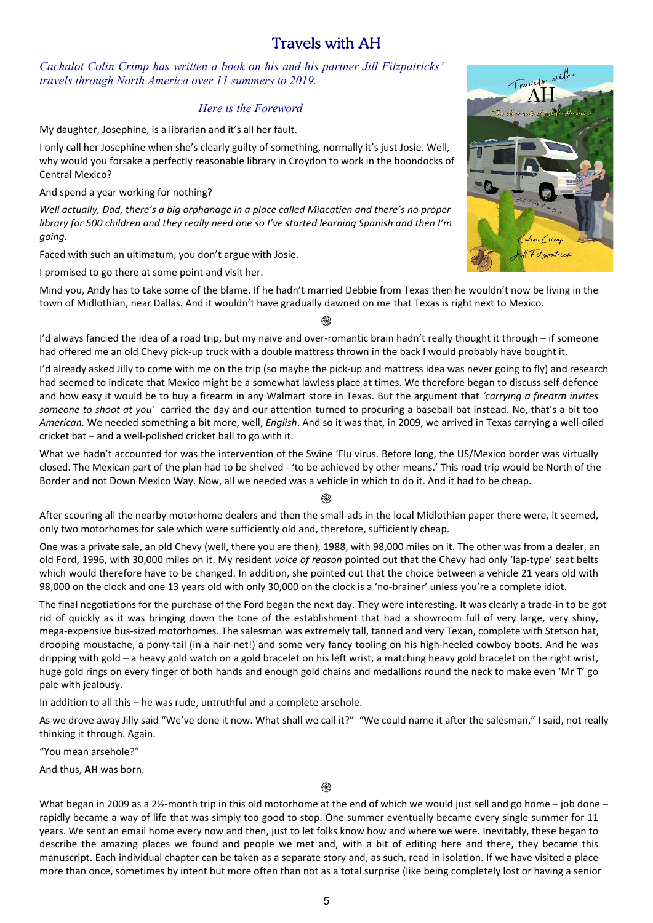# **Travels with AH**

### *Cachalot Colin Crimp has written a book on his and his partner Jill Fitzpatricks' travels through North America over 11 summers to 2019.*

### *Here is the Foreword*

My daughter, Josephine, is a librarian and it's all her fault.

I only call her Josephine when she's clearly guilty of something, normally it's just Josie. Well, why would you forsake a perfectly reasonable library in Croydon to work in the boondocks of Central Mexico?

And spend a year working for nothing?

*Well actually, Dad, there's a big orphanage in a place called Miacatien and there's no proper library for 500 children and they really need one so I've started learning Spanish and then I'm going.*

Faced with such an ultimatum, you don't argue with Josie.

I promised to go there at some point and visit her.

Mind you, Andy has to take some of the blame. If he hadn't married Debbie from Texas then he wouldn't now be living in the town of Midlothian, near Dallas. And it wouldn't have gradually dawned on me that Texas is right next to Mexico.

�

I'd always fancied the idea of a road trip, but my naive and over-romantic brain hadn't really thought it through – if someone had offered me an old Chevy pick-up truck with a double mattress thrown in the back I would probably have bought it.

I'd already asked Jilly to come with me on the trip (so maybe the pick-up and mattress idea was never going to fly) and research had seemed to indicate that Mexico might be a somewhat lawless place at times. We therefore began to discuss self-defence and how easy it would be to buy a firearm in any Walmart store in Texas. But the argument that *'carrying a firearm invites someone to shoot at you'* carried the day and our attention turned to procuring a baseball bat instead. No, that's a bit too *American.* We needed something a bit more, well, *English*. And so it was that, in 2009, we arrived in Texas carrying a well-oiled cricket bat – and a well-polished cricket ball to go with it.

What we hadn't accounted for was the intervention of the Swine 'Flu virus. Before long, the US/Mexico border was virtually closed. The Mexican part of the plan had to be shelved - 'to be achieved by other means.' This road trip would be North of the Border and not Down Mexico Way. Now, all we needed was a vehicle in which to do it. And it had to be cheap.

### �

After scouring all the nearby motorhome dealers and then the small-ads in the local Midlothian paper there were, it seemed, only two motorhomes for sale which were sufficiently old and, therefore, sufficiently cheap.

One was a private sale, an old Chevy (well, there you are then), 1988, with 98,000 miles on it. The other was from a dealer, an old Ford, 1996, with 30,000 miles on it. My resident *voice of reason* pointed out that the Chevy had only 'lap-type' seat belts which would therefore have to be changed. In addition, she pointed out that the choice between a vehicle 21 years old with 98,000 on the clock and one 13 years old with only 30,000 on the clock is a 'no-brainer' unless you're a complete idiot.

The final negotiations for the purchase of the Ford began the next day. They were interesting. It was clearly a trade-in to be got rid of quickly as it was bringing down the tone of the establishment that had a showroom full of very large, very shiny, mega-expensive bus-sized motorhomes. The salesman was extremely tall, tanned and very Texan, complete with Stetson hat, drooping moustache, a pony-tail (in a hair-net!) and some very fancy tooling on his high-heeled cowboy boots. And he was dripping with gold – a heavy gold watch on a gold bracelet on his left wrist, a matching heavy gold bracelet on the right wrist, huge gold rings on every finger of both hands and enough gold chains and medallions round the neck to make even 'Mr T' go pale with jealousy.

In addition to all this – he was rude, untruthful and a complete arsehole.

As we drove away Jilly said "We've done it now. What shall we call it?" "We could name it after the salesman," I said, not really thinking it through. Again.

"You mean arsehole?"

And thus, **AH** was born.

What began in 2009 as a 2½-month trip in this old motorhome at the end of which we would just sell and go home – job done – rapidly became a way of life that was simply too good to stop. One summer eventually became every single summer for 11 years. We sent an email home every now and then, just to let folks know how and where we were. Inevitably, these began to describe the amazing places we found and people we met and, with a bit of editing here and there, they became this manuscript. Each individual chapter can be taken as a separate story and, as such, read in isolation. If we have visited a place more than once, sometimes by intent but more often than not as a total surprise (like being completely lost or having a senior

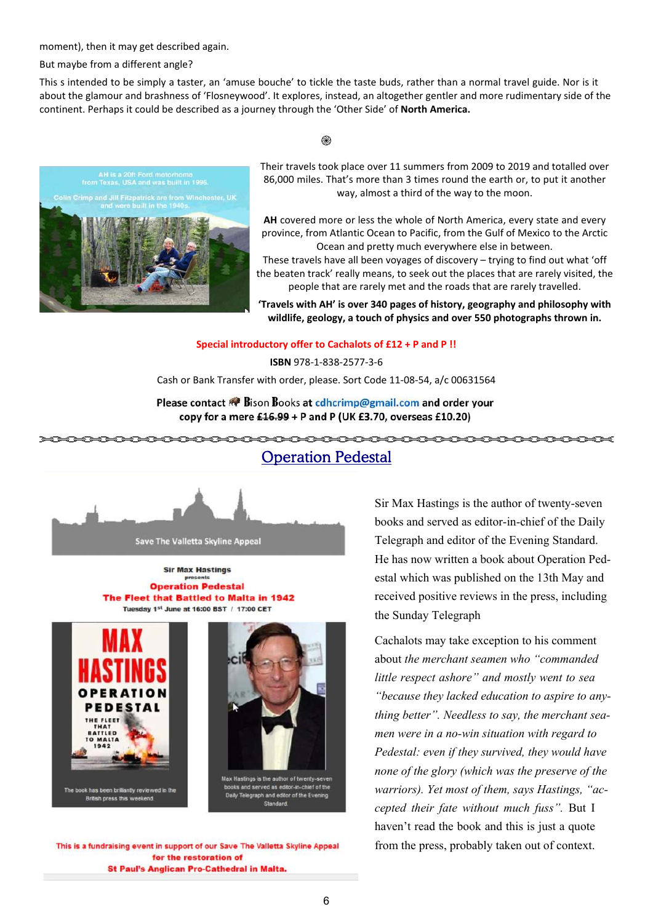moment), then it may get described again.

But maybe from a different angle?

This s intended to be simply a taster, an 'amuse bouche' to tickle the taste buds, rather than a normal travel guide. Nor is it about the glamour and brashness of 'Flosneywood'. It explores, instead, an altogether gentler and more rudimentary side of the continent. Perhaps it could be described as a journey through the 'Other Side' of **North America.**

�



Their travels took place over 11 summers from 2009 to 2019 and totalled over 86,000 miles. That's more than 3 times round the earth or, to put it another way, almost a third of the way to the moon.

**AH** covered more or less the whole of North America, every state and every province, from Atlantic Ocean to Pacific, from the Gulf of Mexico to the Arctic Ocean and pretty much everywhere else in between.

These travels have all been voyages of discovery – trying to find out what 'off the beaten track' really means, to seek out the places that are rarely visited, the people that are rarely met and the roads that are rarely travelled.

**'Travels with AH' is over 340 pages of history, geography and philosophy with wildlife, geology, a touch of physics and over 550 photographs thrown in.**

#### **Special introductory offer to Cachalots of £12 + P and P !!**

**ISBN** 978-1-838-2577-3-6

Cash or Bank Transfer with order, please. Sort Code 11-08-54, a/c 00631564

Please contact **A** Bison Books at cdhcrimp@gmail.com and order your copy for a mere  $£16.99 + P$  and P (UK £3.70, overseas £10.20)



**Sir Max Hastings Operation Pedestal** The Fleet that Battled to Malta in 1942 Tuesday 1st June at 16:00 BST / 17:00 CET



<del>seseres eses</del>



This is a fundraising event in support of our Save The Valletta Skyline Appeal for the restoration of **St Paul's Anglican Pro-Cathedral in Malta.** 

# **Operation Pedestal**

Sir Max Hastings is the author of twenty-seven books and served as editor-in-chief of the Daily Telegraph and editor of the Evening Standard. He has now written a book about Operation Pedestal which was published on the 13th May and received positive reviews in the press, including the Sunday Telegraph

Cachalots may take exception to his comment about *the merchant seamen who "commanded little respect ashore" and mostly went to sea "because they lacked education to aspire to anything better". Needless to say, the merchant seamen were in a no-win situation with regard to Pedestal: even if they survived, they would have none of the glory (which was the preserve of the warriors). Yet most of them, says Hastings, "accepted their fate without much fuss".* But I haven't read the book and this is just a quote from the press, probably taken out of context.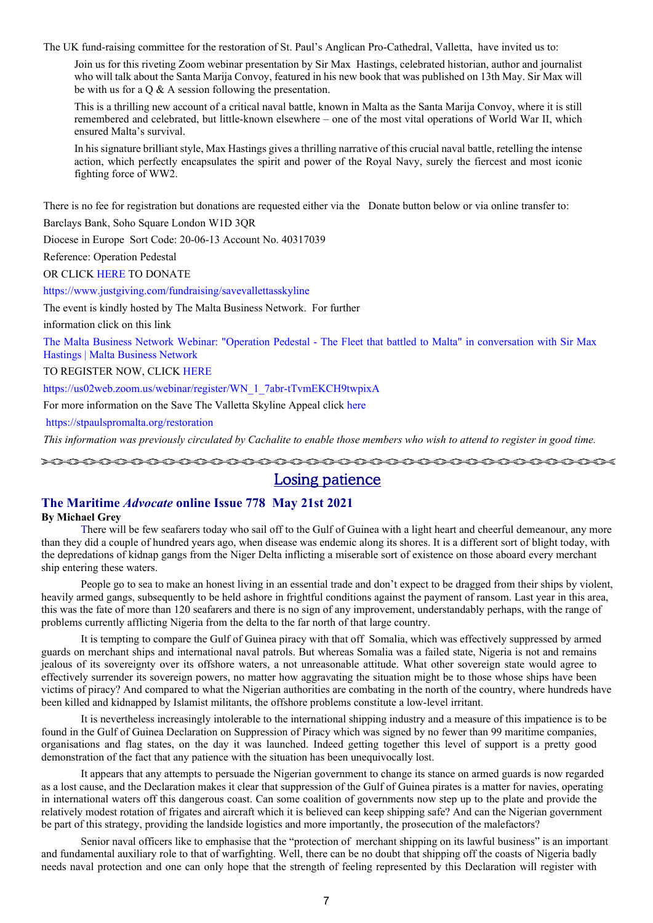The UK fund-raising committee for the restoration of St. Paul's Anglican Pro-Cathedral, Valletta, have invited us to:

Join us for this riveting Zoom webinar presentation by Sir Max Hastings, celebrated historian, author and journalist who will talk about the Santa Marija Convoy, featured in his new book that was published on 13th May. Sir Max will be with us for a O & A session following the presentation.

This is a thrilling new account of a critical naval battle, known in Malta as the Santa Marija Convoy, where it is still remembered and celebrated, but little-known elsewhere – one of the most vital operations of World War II, which ensured Malta's survival.

In his signature brilliant style, Max Hastings gives a thrilling narrative of this crucial naval battle, retelling the intense action, which perfectly encapsulates the spirit and power of the Royal Navy, surely the fiercest and most iconic fighting force of WW2.

There is no fee for registration but donations are requested either via the Donate button below or via online transfer to:

Barclays Bank, Soho Square London W1D 3QR

Diocese in Europe Sort Code: 20-06-13 Account No. 40317039

Reference: Operation Pedestal

OR CLICK [HERE](https://www.justgiving.com/fundraising/savevallettasskyline) TO DONATE

<https://www.justgiving.com/fundraising/savevallettasskyline>

The event is kindly hosted by The Malta Business Network. For further

information click on this link

[The Malta Business Network Webinar: "Operation Pedestal - The Fleet that battled to Malta" in conversation with Sir Max]( The Malta Business Network Webinar: "Operation Pedestal - The Fleet that battled to Malta" in conversation with Sir Max Hastings | Malta Business Network) [Hastings | Malta Business Network]( The Malta Business Network Webinar: "Operation Pedestal - The Fleet that battled to Malta" in conversation with Sir Max Hastings | Malta Business Network)

TO REGISTER NOW, CLICK [HERE](https://us02web.zoom.us/webinar/register/WN_1_7abr-tTvmEKCH9twpixA)

[https://us02web.zoom.us/webinar/register/WN\\_1\\_7abr-tTvmEKCH9twpixA](https://us02web.zoom.us/webinar/register/WN_1_7abr-tTvmEKCH9twpixA)

For more information on the Save The Valletta Skyline Appeal click [here](https://www.stpaulspromalta.org/restoration/)

[https://stpaulspromalta.org/restoration]( https://stpaulspromalta.org/restoration)

*This information was previously circulated by Cachalite to enable those members who wish to attend to register in good time.*

<del>}00000000000000000000000000000000000</del>

# Losing patience

# **The Maritime** *Advocate* **online Issue 778 May 21st 2021**

### **By Michael Grey**

There will be few seafarers today who sail off to the Gulf of Guinea with a light heart and cheerful demeanour, any more than they did a couple of hundred years ago, when disease was endemic along its shores. It is a different sort of blight today, with the depredations of kidnap gangs from the Niger Delta inflicting a miserable sort of existence on those aboard every merchant ship entering these waters.

People go to sea to make an honest living in an essential trade and don't expect to be dragged from their ships by violent, heavily armed gangs, subsequently to be held ashore in frightful conditions against the payment of ransom. Last year in this area, this was the fate of more than 120 seafarers and there is no sign of any improvement, understandably perhaps, with the range of problems currently afflicting Nigeria from the delta to the far north of that large country.

It is tempting to compare the Gulf of Guinea piracy with that off Somalia, which was effectively suppressed by armed guards on merchant ships and international naval patrols. But whereas Somalia was a failed state, Nigeria is not and remains jealous of its sovereignty over its offshore waters, a not unreasonable attitude. What other sovereign state would agree to effectively surrender its sovereign powers, no matter how aggravating the situation might be to those whose ships have been victims of piracy? And compared to what the Nigerian authorities are combating in the north of the country, where hundreds have been killed and kidnapped by Islamist militants, the offshore problems constitute a low-level irritant.

It is nevertheless increasingly intolerable to the international shipping industry and a measure of this impatience is to be found in the Gulf of Guinea Declaration on Suppression of Piracy which was signed by no fewer than 99 maritime companies, organisations and flag states, on the day it was launched. Indeed getting together this level of support is a pretty good demonstration of the fact that any patience with the situation has been unequivocally lost.

It appears that any attempts to persuade the Nigerian government to change its stance on armed guards is now regarded as a lost cause, and the Declaration makes it clear that suppression of the Gulf of Guinea pirates is a matter for navies, operating in international waters off this dangerous coast. Can some coalition of governments now step up to the plate and provide the relatively modest rotation of frigates and aircraft which it is believed can keep shipping safe? And can the Nigerian government be part of this strategy, providing the landside logistics and more importantly, the prosecution of the malefactors?

Senior naval officers like to emphasise that the "protection of merchant shipping on its lawful business" is an important and fundamental auxiliary role to that of warfighting. Well, there can be no doubt that shipping off the coasts of Nigeria badly needs naval protection and one can only hope that the strength of feeling represented by this Declaration will register with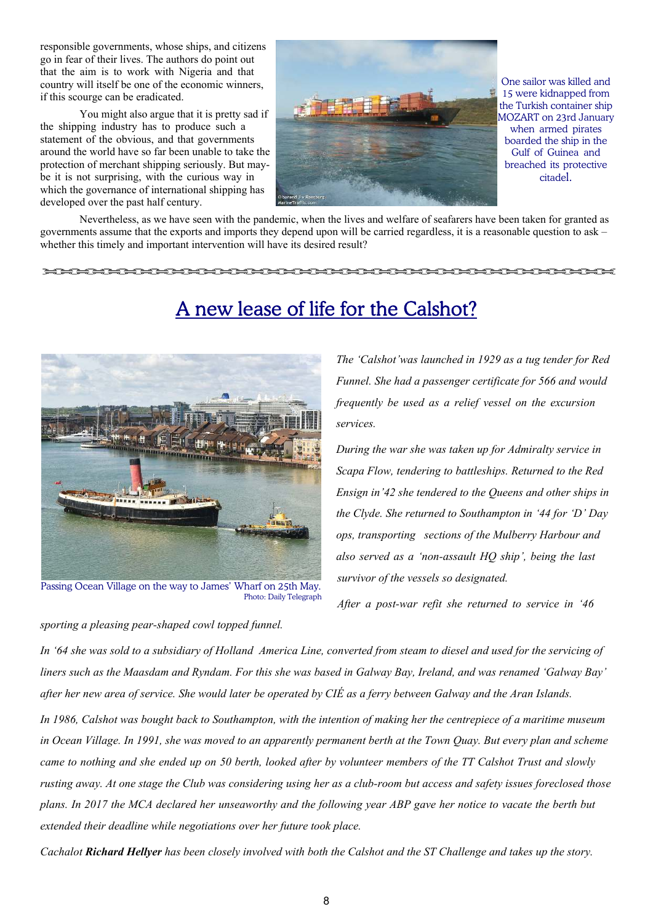responsible governments, whose ships, and citizens go in fear of their lives. The authors do point out that the aim is to work with Nigeria and that country will itself be one of the economic winners, if this scourge can be eradicated.

You might also argue that it is pretty sad if the shipping industry has to produce such a statement of the obvious, and that governments around the world have so far been unable to take the protection of merchant shipping seriously. But maybe it is not surprising, with the curious way in which the governance of international shipping has developed over the past half century.



One sailor was killed and 15 were kidnapped from the Turkish container ship MOZART on 23rd January when armed pirates boarded the ship in the Gulf of Guinea and breached its protective citadel.

Nevertheless, as we have seen with the pandemic, when the lives and welfare of seafarers have been taken for granted as governments assume that the exports and imports they depend upon will be carried regardless, it is a reasonable question to ask – whether this timely and important intervention will have its desired result?

### Keep testing your sense of smell and taste and remain sane.

# A new lease of life for the Calshot?



Passing Ocean Village on the way to James' Wharf on 25th May. Photo: Daily Telegraph

*sporting a pleasing pear-shaped cowl topped funnel.*

*The 'Calshot'was launched in 1929 as a tug tender for Red Funnel. She had a passenger certificate for 566 and would frequently be used as a relief vessel on the excursion services.*

*During the war she was taken up for Admiralty service in Scapa Flow, tendering to battleships. Returned to the Red Ensign in'42 she tendered to the Queens and other ships in the Clyde. She returned to Southampton in '44 for 'D' Day ops, transporting sections of the Mulberry Harbour and also served as a 'non-assault HQ ship', being the last survivor of the vessels so designated.*

*After a post-war refit she returned to service in '46*

*In '64 she was sold to a subsidiary of Holland America Line, converted from steam to diesel and used for the servicing of liners such as the Maasdam and Ryndam. For this she was based in Galway Bay, Ireland, and was renamed 'Galway Bay' after her new area of service. She would later be operated by CIÉ as a ferry between Galway and the Aran Islands.*

*In 1986, Calshot was bought back to Southampton, with the intention of making her the centrepiece of a maritime museum in Ocean Village. In 1991, she was moved to an apparently permanent berth at the Town Quay. But every plan and scheme came to nothing and she ended up on 50 berth, looked after by volunteer members of the TT Calshot Trust and slowly rusting away. At one stage the Club was considering using her as a club-room but access and safety issues foreclosed those plans. In 2017 the MCA declared her unseaworthy and the following year ABP gave her notice to vacate the berth but extended their deadline while negotiations over her future took place.*

*Cachalot Richard Hellyer has been closely involved with both the Calshot and the ST Challenge and takes up the story.*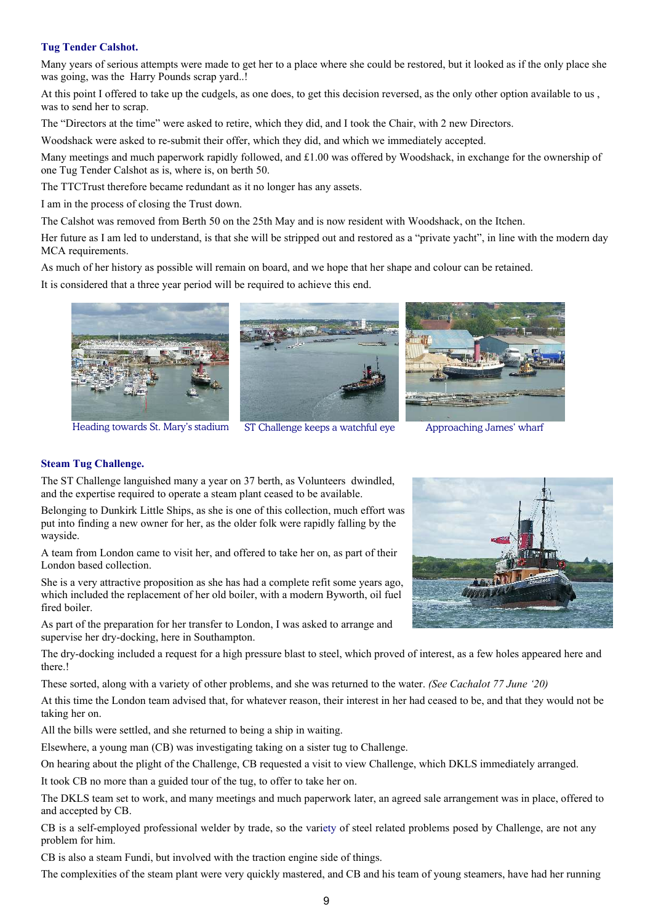### **Tug Tender Calshot.**

Many years of serious attempts were made to get her to a place where she could be restored, but it looked as if the only place she was going, was the Harry Pounds scrap yard..!

At this point I offered to take up the cudgels, as one does, to get this decision reversed, as the only other option available to us , was to send her to scrap.

The "Directors at the time" were asked to retire, which they did, and I took the Chair, with 2 new Directors.

Woodshack were asked to re-submit their offer, which they did, and which we immediately accepted.

Many meetings and much paperwork rapidly followed, and  $\pounds$ 1.00 was offered by Woodshack, in exchange for the ownership of one Tug Tender Calshot as is, where is, on berth 50.

The TTCTrust therefore became redundant as it no longer has any assets.

I am in the process of closing the Trust down.

The Calshot was removed from Berth 50 on the 25th May and is now resident with Woodshack, on the Itchen.

Her future as I am led to understand, is that she will be stripped out and restored as a "private yacht", in line with the modern day MCA requirements.

As much of her history as possible will remain on board, and we hope that her shape and colour can be retained.

It is considered that a three year period will be required to achieve this end.



Heading towards St. Mary's stadium ST Challenge keeps a watchful eye Approaching James' wharf





### **Steam Tug Challenge.**

The ST Challenge languished many a year on 37 berth, as Volunteers dwindled, and the expertise required to operate a steam plant ceased to be available.

Belonging to Dunkirk Little Ships, as she is one of this collection, much effort was put into finding a new owner for her, as the older folk were rapidly falling by the wayside.

A team from London came to visit her, and offered to take her on, as part of their London based collection.

She is a very attractive proposition as she has had a complete refit some years ago, which included the replacement of her old boiler, with a modern Byworth, oil fuel fired boiler.

As part of the preparation for her transfer to London, I was asked to arrange and supervise her dry-docking, here in Southampton.

The dry-docking included a request for a high pressure blast to steel, which proved of interest, as a few holes appeared here and there.!

These sorted, along with a variety of other problems, and she was returned to the water. *(See Cachalot 77 June '20)*

At this time the London team advised that, for whatever reason, their interest in her had ceased to be, and that they would not be taking her on.

All the bills were settled, and she returned to being a ship in waiting.

Elsewhere, a young man (CB) was investigating taking on a sister tug to Challenge.

On hearing about the plight of the Challenge, CB requested a visit to view Challenge, which DKLS immediately arranged.

It took CB no more than a guided tour of the tug, to offer to take her on.

The DKLS team set to work, and many meetings and much paperwork later, an agreed sale arrangement was in place, offered to and accepted by CB.

CB is a self-employed professional welder by trade, so the variety of steel related problems posed by Challenge, are not any problem for him.

CB is also a steam Fundi, but involved with the traction engine side of things.

The complexities of the steam plant were very quickly mastered, and CB and his team of young steamers, have had her running

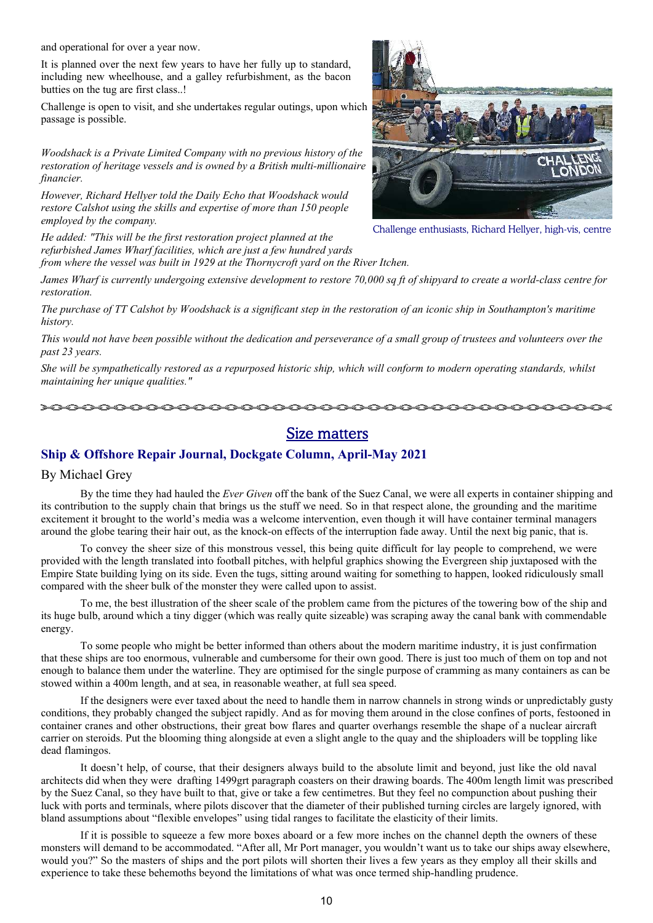and operational for over a year now.

It is planned over the next few years to have her fully up to standard, including new wheelhouse, and a galley refurbishment, as the bacon butties on the tug are first class..!

Challenge is open to visit, and she undertakes regular outings, upon which passage is possible.

*Woodshack is a Private Limited Company with no previous history of the restoration of heritage vessels and is owned by a British multi-millionaire financier.*

*However, Richard Hellyer told the Daily Echo that Woodshack would restore Calshot using the skills and expertise of more than 150 people employed by the company.*



Challenge enthusiasts, Richard Hellyer, high-vis, centre

*He added: "This will be the first restoration project planned at the refurbished James Wharf facilities, which are just a few hundred yards*

*from where the vessel was built in 1929 at the Thornycroft yard on the River Itchen.*

*James Wharf is currently undergoing extensive development to restore 70,000 sq ft of shipyard to create a world-class centre for restoration.*

*The purchase of TT Calshot by Woodshack is a significant step in the restoration of an iconic ship in Southampton's maritime history.*

*This would not have been possible without the dedication and perseverance of a small group of trustees and volunteers over the past 23 years.*

*She will be sympathetically restored as a repurposed historic ship, which will conform to modern operating standards, whilst maintaining her unique qualities."*

 $\circ\circ\circ\circ\circ\circ\circ\circ\circ\circ$ 

## **Size matters**

### **Ship & Offshore Repair Journal, Dockgate Column, April-May 2021**

### By Michael Grey

By the time they had hauled the *Ever Given* off the bank of the Suez Canal, we were all experts in container shipping and its contribution to the supply chain that brings us the stuff we need. So in that respect alone, the grounding and the maritime excitement it brought to the world's media was a welcome intervention, even though it will have container terminal managers around the globe tearing their hair out, as the knock-on effects of the interruption fade away. Until the next big panic, that is.

To convey the sheer size of this monstrous vessel, this being quite difficult for lay people to comprehend, we were provided with the length translated into football pitches, with helpful graphics showing the Evergreen ship juxtaposed with the Empire State building lying on its side. Even the tugs, sitting around waiting for something to happen, looked ridiculously small compared with the sheer bulk of the monster they were called upon to assist.

To me, the best illustration of the sheer scale of the problem came from the pictures of the towering bow of the ship and its huge bulb, around which a tiny digger (which was really quite sizeable) was scraping away the canal bank with commendable energy.

To some people who might be better informed than others about the modern maritime industry, it is just confirmation that these ships are too enormous, vulnerable and cumbersome for their own good. There is just too much of them on top and not enough to balance them under the waterline. They are optimised for the single purpose of cramming as many containers as can be stowed within a 400m length, and at sea, in reasonable weather, at full sea speed.

If the designers were ever taxed about the need to handle them in narrow channels in strong winds or unpredictably gusty conditions, they probably changed the subject rapidly. And as for moving them around in the close confines of ports, festooned in container cranes and other obstructions, their great bow flares and quarter overhangs resemble the shape of a nuclear aircraft carrier on steroids. Put the blooming thing alongside at even a slight angle to the quay and the shiploaders will be toppling like dead flamingos.

It doesn't help, of course, that their designers always build to the absolute limit and beyond, just like the old naval architects did when they were drafting 1499grt paragraph coasters on their drawing boards. The 400m length limit was prescribed by the Suez Canal, so they have built to that, give or take a few centimetres. But they feel no compunction about pushing their luck with ports and terminals, where pilots discover that the diameter of their published turning circles are largely ignored, with bland assumptions about "flexible envelopes" using tidal ranges to facilitate the elasticity of their limits.

If it is possible to squeeze a few more boxes aboard or a few more inches on the channel depth the owners of these monsters will demand to be accommodated. "After all, Mr Port manager, you wouldn't want us to take our ships away elsewhere, would you?" So the masters of ships and the port pilots will shorten their lives a few years as they employ all their skills and experience to take these behemoths beyond the limitations of what was once termed ship-handling prudence.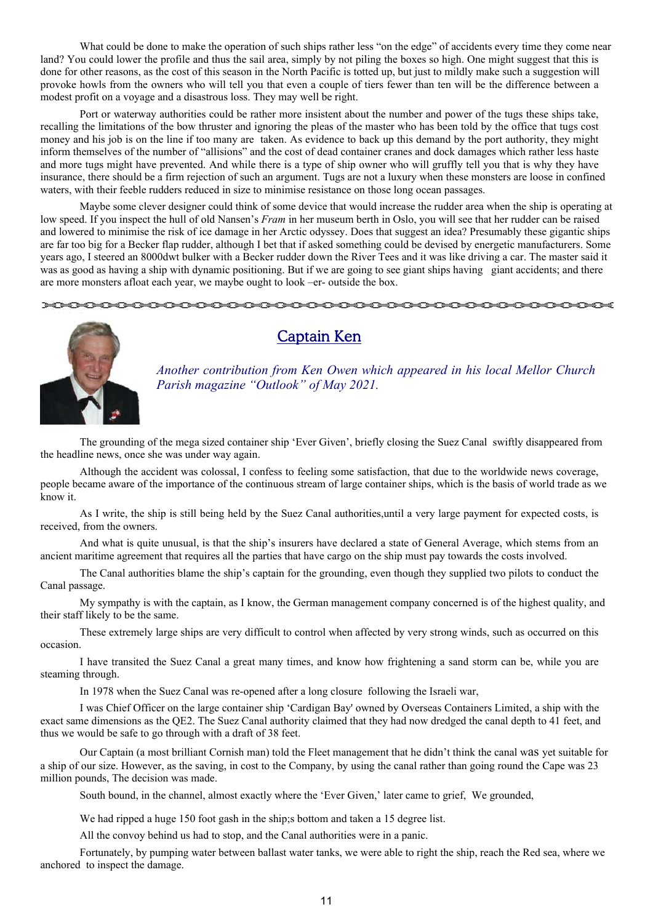What could be done to make the operation of such ships rather less "on the edge" of accidents every time they come near land? You could lower the profile and thus the sail area, simply by not piling the boxes so high. One might suggest that this is done for other reasons, as the cost of this season in the North Pacific is totted up, but just to mildly make such a suggestion will provoke howls from the owners who will tell you that even a couple of tiers fewer than ten will be the difference between a modest profit on a voyage and a disastrous loss. They may well be right.

Port or waterway authorities could be rather more insistent about the number and power of the tugs these ships take, recalling the limitations of the bow thruster and ignoring the pleas of the master who has been told by the office that tugs cost money and his job is on the line if too many are taken. As evidence to back up this demand by the port authority, they might inform themselves of the number of "allisions" and the cost of dead container cranes and dock damages which rather less haste and more tugs might have prevented. And while there is a type of ship owner who will gruffly tell you that is why they have insurance, there should be a firm rejection of such an argument. Tugs are not a luxury when these monsters are loose in confined waters, with their feeble rudders reduced in size to minimise resistance on those long ocean passages.

Maybe some clever designer could think of some device that would increase the rudder area when the ship is operating at low speed. If you inspect the hull of old Nansen's *Fram* in her museum berth in Oslo, you will see that her rudder can be raised and lowered to minimise the risk of ice damage in her Arctic odyssey. Does that suggest an idea? Presumably these gigantic ships are far too big for a Becker flap rudder, although I bet that if asked something could be devised by energetic manufacturers. Some years ago, I steered an 8000dwt bulker with a Becker rudder down the River Tees and it was like driving a car. The master said it was as good as having a ship with dynamic positioning. But if we are going to see giant ships having giant accidents; and there are more monsters afloat each year, we maybe ought to look –er- outside the box.

#### n na matang pang <del>contect</del>



# **Captain Ken**

*Another contribution from Ken Owen which appeared in his local Mellor Church Parish magazine "Outlook" of May 2021.*

The grounding of the mega sized container ship 'Ever Given', briefly closing the Suez Canal swiftly disappeared from the headline news, once she was under way again.

Although the accident was colossal, I confess to feeling some satisfaction, that due to the worldwide news coverage, people became aware of the importance of the continuous stream of large container ships, which is the basis of world trade as we know it.

As I write, the ship is still being held by the Suez Canal authorities,until a very large payment for expected costs, is received, from the owners.

And what is quite unusual, is that the ship's insurers have declared a state of General Average, which stems from an ancient maritime agreement that requires all the parties that have cargo on the ship must pay towards the costs involved.

The Canal authorities blame the ship's captain for the grounding, even though they supplied two pilots to conduct the Canal passage.

My sympathy is with the captain, as I know, the German management company concerned is of the highest quality, and their staff likely to be the same.

These extremely large ships are very difficult to control when affected by very strong winds, such as occurred on this occasion.

I have transited the Suez Canal a great many times, and know how frightening a sand storm can be, while you are steaming through.

In 1978 when the Suez Canal was re-opened after a long closure following the Israeli war,

I was Chief Officer on the large container ship 'Cardigan Bay' owned by Overseas Containers Limited, a ship with the exact same dimensions as the QE2. The Suez Canal authority claimed that they had now dredged the canal depth to 41 feet, and thus we would be safe to go through with a draft of 38 feet.

Our Captain (a most brilliant Cornish man) told the Fleet management that he didn't think the canal was yet suitable for a ship of our size. However, as the saving, in cost to the Company, by using the canal rather than going round the Cape was 23 million pounds, The decision was made.

South bound, in the channel, almost exactly where the 'Ever Given,' later came to grief, We grounded,

We had ripped a huge 150 foot gash in the ship;s bottom and taken a 15 degree list.

All the convoy behind us had to stop, and the Canal authorities were in a panic.

Fortunately, by pumping water between ballast water tanks, we were able to right the ship, reach the Red sea, where we anchored to inspect the damage.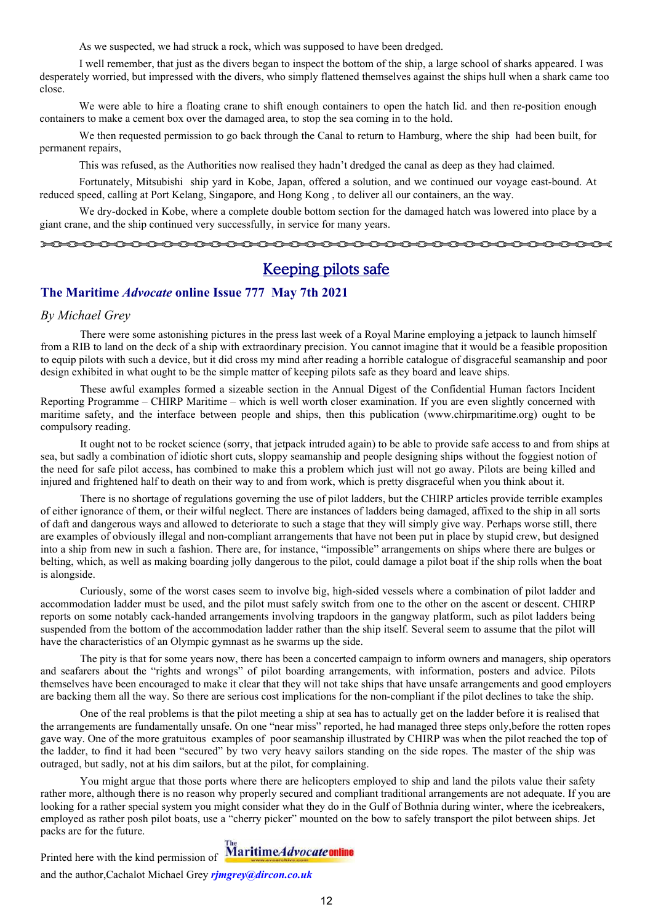As we suspected, we had struck a rock, which was supposed to have been dredged.

I well remember, that just as the divers began to inspect the bottom of the ship, a large school of sharks appeared. I was desperately worried, but impressed with the divers, who simply flattened themselves against the ships hull when a shark came too close.

We were able to hire a floating crane to shift enough containers to open the hatch lid. and then re-position enough containers to make a cement box over the damaged area, to stop the sea coming in to the hold.

We then requested permission to go back through the Canal to return to Hamburg, where the ship had been built, for permanent repairs,

This was refused, as the Authorities now realised they hadn't dredged the canal as deep as they had claimed.

Fortunately, Mitsubishi ship yard in Kobe, Japan, offered a solution, and we continued our voyage east-bound. At reduced speed, calling at Port Kelang, Singapore, and Hong Kong , to deliver all our containers, an the way.

We dry-docked in Kobe, where a complete double bottom section for the damaged hatch was lowered into place by a giant crane, and the ship continued very successfully, in service for many years.

# Keeping pilots safe

### **The Maritime** *Advocate* **online Issue 777 May 7th 2021**

### *By Michael Grey*

There were some astonishing pictures in the press last week of a Royal Marine employing a jetpack to launch himself from a RIB to land on the deck of a ship with extraordinary precision. You cannot imagine that it would be a feasible proposition to equip pilots with such a device, but it did cross my mind after reading a horrible catalogue of disgraceful seamanship and poor design exhibited in what ought to be the simple matter of keeping pilots safe as they board and leave ships.

These awful examples formed a sizeable section in the Annual Digest of the Confidential Human factors Incident Reporting Programme – CHIRP Maritime – which is well worth closer examination. If you are even slightly concerned with maritime safety, and the interface between people and ships, then this publication (www.chirpmaritime.org) ought to be compulsory reading.

It ought not to be rocket science (sorry, that jetpack intruded again) to be able to provide safe access to and from ships at sea, but sadly a combination of idiotic short cuts, sloppy seamanship and people designing ships without the foggiest notion of the need for safe pilot access, has combined to make this a problem which just will not go away. Pilots are being killed and injured and frightened half to death on their way to and from work, which is pretty disgraceful when you think about it.

There is no shortage of regulations governing the use of pilot ladders, but the CHIRP articles provide terrible examples of either ignorance of them, or their wilful neglect. There are instances of ladders being damaged, affixed to the ship in all sorts of daft and dangerous ways and allowed to deteriorate to such a stage that they will simply give way. Perhaps worse still, there are examples of obviously illegal and non-compliant arrangements that have not been put in place by stupid crew, but designed into a ship from new in such a fashion. There are, for instance, "impossible" arrangements on ships where there are bulges or belting, which, as well as making boarding jolly dangerous to the pilot, could damage a pilot boat if the ship rolls when the boat is alongside.

Curiously, some of the worst cases seem to involve big, high-sided vessels where a combination of pilot ladder and accommodation ladder must be used, and the pilot must safely switch from one to the other on the ascent or descent. CHIRP reports on some notably cack-handed arrangements involving trapdoors in the gangway platform, such as pilot ladders being suspended from the bottom of the accommodation ladder rather than the ship itself. Several seem to assume that the pilot will have the characteristics of an Olympic gymnast as he swarms up the side.

The pity is that for some years now, there has been a concerted campaign to inform owners and managers, ship operators and seafarers about the "rights and wrongs" of pilot boarding arrangements, with information, posters and advice. Pilots themselves have been encouraged to make it clear that they will not take ships that have unsafe arrangements and good employers are backing them all the way. So there are serious cost implications for the non-compliant if the pilot declines to take the ship.

One of the real problems is that the pilot meeting a ship at sea has to actually get on the ladder before it is realised that the arrangements are fundamentally unsafe. On one "near miss" reported, he had managed three steps only,before the rotten ropes gave way. One of the more gratuitous examples of poor seamanship illustrated by CHIRP was when the pilot reached the top of the ladder, to find it had been "secured" by two very heavy sailors standing on the side ropes. The master of the ship was outraged, but sadly, not at his dim sailors, but at the pilot, for complaining.

You might argue that those ports where there are helicopters employed to ship and land the pilots value their safety rather more, although there is no reason why properly secured and compliant traditional arrangements are not adequate. If you are looking for a rather special system you might consider what they do in the Gulf of Bothnia during winter, where the icebreakers, employed as rather posh pilot boats, use a "cherry picker" mounted on the bow to safely transport the pilot between ships. Jet packs are for the future.

MaritimeAdvocateonline Printed here with the kind permission of

and the author,Cachalot Michael Grey *[rjmgrey@dircon.co.uk](mailto:rjmgrey@dircon.co.uk)*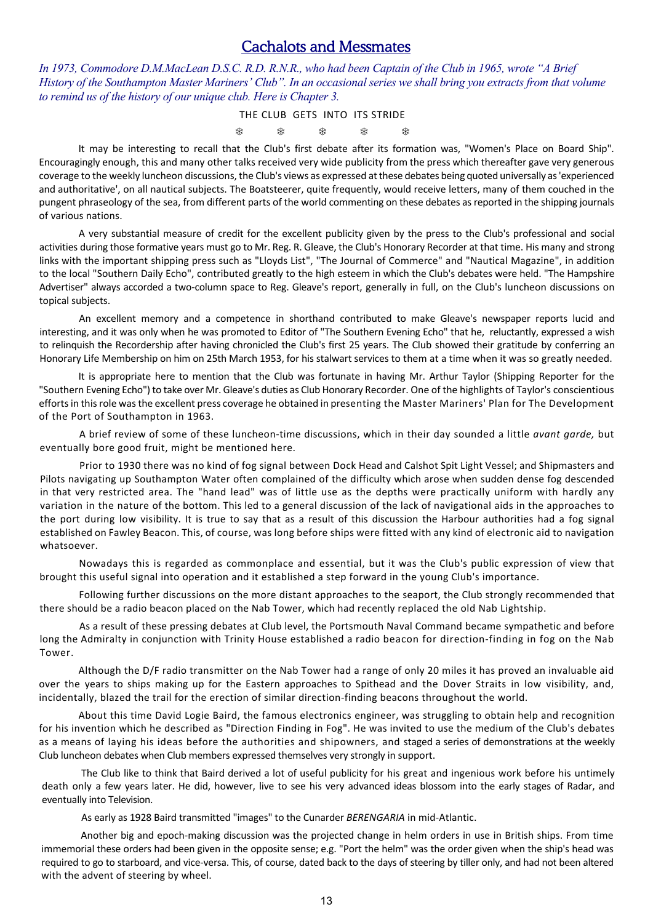## **Cachalots and Messmates**

*In 1973, Commodore D.M.MacLean D.S.C. R.D. R.N.R., who had been Captain of the Club in 1965, wrote "A Brief History of the Southampton Master Mariners' Club". In an occasional series we shall bring you extracts from that volume to remind us of the history of our unique club. Here is Chapter 3.*

### THE CLUB GETS INTO ITS STRIDE

�����������������

It may be interesting to recall that the Club's first debate after its formation was, "Women's Place on Board Ship". Encouragingly enough, this and many other talks received very wide publicity from the press which thereafter gave very generous coverage to the weekly luncheon discussions, the Club's views as expressed at these debates being quoted universally as 'experienced and authoritative', on all nautical subjects. The Boatsteerer, quite frequently, would receive letters, many of them couched in the pungent phraseology of the sea, from different parts of the world commenting on these debates as reported in the shipping journals of various nations.

A very substantial measure of credit for the excellent publicity given by the press to the Club's professional and social activities during those formative years must go to Mr. Reg. R. Gleave, the Club's Honorary Recorder at that time. His many and strong links with the important shipping press such as "Lloyds List", "The Journal of Commerce" and "Nautical Magazine", in addition to the local "Southern Daily Echo", contributed greatly to the high esteem in which the Club's debates were held. "The Hampshire Advertiser" always accorded a two-column space to Reg. Gleave's report, generally in full, on the Club's luncheon discussions on topical subjects.

An excellent memory and a competence in shorthand contributed to make Gleave's newspaper reports lucid and interesting, and it was only when he was promoted to Editor of "The Southern Evening Echo" that he, reluctantly, expressed a wish to relinquish the Recordership after having chronicled the Club's first 25 years. The Club showed their gratitude by conferring an Honorary Life Membership on him on 25th March 1953, for his stalwart services to them at a time when it was so greatly needed.

It is appropriate here to mention that the Club was fortunate in having Mr. Arthur Taylor (Shipping Reporter for the "Southern Evening Echo") to take over Mr. Gleave's duties as Club Honorary Recorder. One of the highlights of Taylor's conscientious efforts in this role was the excellent press coverage he obtained in presenting the Master Mariners' Plan for The Development of the Port of Southampton in 1963.

A brief review of some of these luncheon-time discussions, which in their day sounded a little *avant garde,* but eventually bore good fruit, might be mentioned here.

Prior to 1930 there was no kind of fog signal between Dock Head and Calshot Spit Light Vessel; and Shipmasters and Pilots navigating up Southampton Water often complained of the difficulty which arose when sudden dense fog descended in that very restricted area. The "hand lead" was of little use as the depths were practically uniform with hardly any variation in the nature of the bottom. This led to a general discussion of the lack of navigational aids in the approaches to the port during low visibility. It is true to say that as a result of this discussion the Harbour authorities had a fog signal established on Fawley Beacon. This, of course, was long before ships were fitted with any kind of electronic aid to navigation whatsoever.

Nowadays this is regarded as commonplace and essential, but it was the Club's public expression of view that brought this useful signal into operation and it established a step forward in the young Club's importance.

Following further discussions on the more distant approaches to the seaport, the Club strongly recommended that there should be a radio beacon placed on the Nab Tower, which had recently replaced the old Nab Lightship.

As a result of these pressing debates at Club level, the Portsmouth Naval Command became sympathetic and before long the Admiralty in conjunction with Trinity House established a radio beacon for direction-finding in fog on the Nab Tower.

Although the D/F radio transmitter on the Nab Tower had a range of only 20 miles it has proved an invaluable aid over the years to ships making up for the Eastern approaches to Spithead and the Dover Straits in low visibility, and, incidentally, blazed the trail for the erection of similar direction-finding beacons throughout the world.

About this time David Logie Baird, the famous electronics engineer, was struggling to obtain help and recognition for his invention which he described as "Direction Finding in Fog". He was invited to use the medium of the Club's debates as a means of laying his ideas before the authorities and shipowners, and staged a series of demonstrations at the weekly Club luncheon debates when Club members expressed themselves very strongly in support.

The Club like to think that Baird derived a lot of useful publicity for his great and ingenious work before his untimely death only a few years later. He did, however, live to see his very advanced ideas blossom into the early stages of Radar, and eventually into Television.

As early as 1928 Baird transmitted "images" to the Cunarder *BERENGARIA* in mid-Atlantic.

Another big and epoch-making discussion was the projected change in helm orders in use in British ships. From time immemorial these orders had been given in the opposite sense; e.g. "Port the helm" was the order given when the ship's head was required to go to starboard, and vice-versa. This, of course, dated back to the days of steering by tiller only, and had not been altered with the advent of steering by wheel.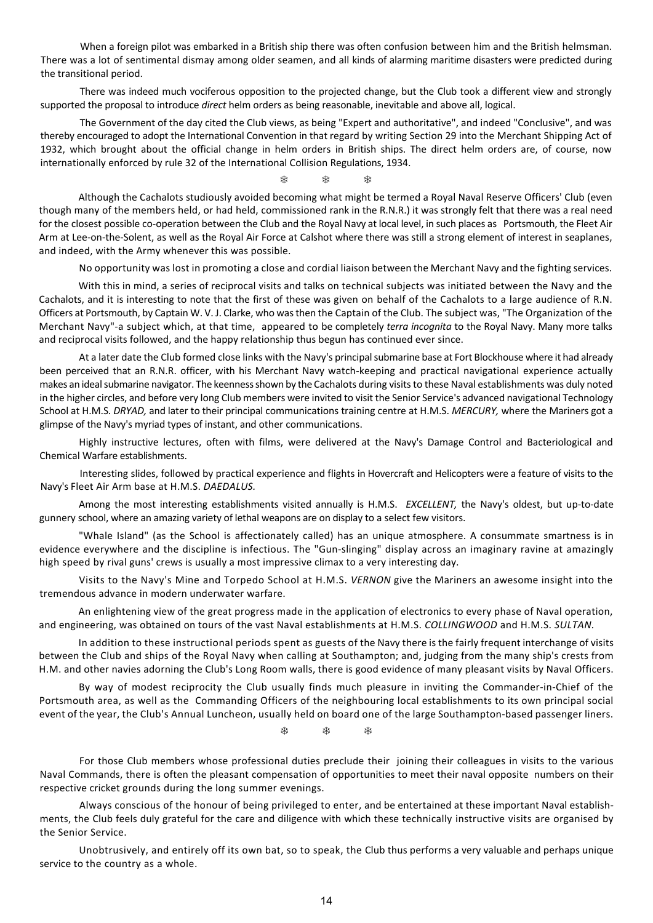When a foreign pilot was embarked in a British ship there was often confusion between him and the British helmsman. There was a lot of sentimental dismay among older seamen, and all kinds of alarming maritime disasters were predicted during the transitional period.

There was indeed much vociferous opposition to the projected change, but the Club took a different view and strongly supported the proposal to introduce *direct* helm orders as being reasonable, inevitable and above all, logical.

The Government of the day cited the Club views, as being "Expert and authoritative", and indeed "Conclusive", and was thereby encouraged to adopt the International Convention in that regard by writing Section 29 into the Merchant Shipping Act of 1932, which brought about the official change in helm orders in British ships. The direct helm orders are, of course, now internationally enforced by rule 32 of the International Collision Regulations, 1934.

※ ※ ※

Although the Cachalots studiously avoided becoming what might be termed a Royal Naval Reserve Officers' Club (even though many of the members held, or had held, commissioned rank in the R.N.R.) it was strongly felt that there was a real need for the closest possible co-operation between the Club and the Royal Navy at local level, in such places as Portsmouth, the Fleet Air Arm at Lee-on-the-Solent, as well as the Royal Air Force at Calshot where there was still a strong element of interest in seaplanes, and indeed, with the Army whenever this was possible.

No opportunity was lost in promoting a close and cordial liaison between the Merchant Navy and the fighting services.

With this in mind, a series of reciprocal visits and talks on technical subjects was initiated between the Navy and the Cachalots, and it is interesting to note that the first of these was given on behalf of the Cachalots to a large audience of R.N. Officers at Portsmouth, by Captain W. V. J. Clarke, who was then the Captain of the Club. The subject was, "The Organization of the Merchant Navy"-a subject which, at that time, appeared to be completely *terra incognita* to the Royal Navy. Many more talks and reciprocal visits followed, and the happy relationship thus begun has continued ever since.

At a later date the Club formed close links with the Navy's principal submarine base at Fort Blockhouse where it had already been perceived that an R.N.R. officer, with his Merchant Navy watch-keeping and practical navigational experience actually makes an ideal submarine navigator. The keenness shown by the Cachalots during visits to these Naval establishments was duly noted in the higher circles, and before very long Club members were invited to visit the Senior Service's advanced navigational Technology School at H.M.S. *DRYAD,* and later to their principal communications training centre at H.M.S. *MERCURY,* where the Mariners got a glimpse of the Navy's myriad types of instant, and other communications.

Highly instructive lectures, often with films, were delivered at the Navy's Damage Control and Bacteriological and Chemical Warfare establishments.

Interesting slides, followed by practical experience and flights in Hovercraft and Helicopters were a feature of visits to the Navy's Fleet Air Arm base at H.M.S. *DAEDALUS.*

Among the most interesting establishments visited annually is H.M.S. *EXCELLENT,* the Navy's oldest, but up-to-date gunnery school, where an amazing variety of lethal weapons are on display to a select few visitors.

"Whale Island" (as the School is affectionately called) has an unique atmosphere. A consummate smartness is in evidence everywhere and the discipline is infectious. The "Gun-slinging" display across an imaginary ravine at amazingly high speed by rival guns' crews is usually a most impressive climax to a very interesting day.

Visits to the Navy's Mine and Torpedo School at H.M.S. *VERNON* give the Mariners an awesome insight into the tremendous advance in modern underwater warfare.

An enlightening view of the great progress made in the application of electronics to every phase of Naval operation, and engineering, was obtained on tours of the vast Naval establishments at H.M.S. *COLLINGWOOD* and H.M.S. *SULTAN.*

In addition to these instructional periods spent as guests of the Navy there is the fairly frequent interchange of visits between the Club and ships of the Royal Navy when calling at Southampton; and, judging from the many ship's crests from H.M. and other navies adorning the Club's Long Room walls, there is good evidence of many pleasant visits by Naval Officers.

By way of modest reciprocity the Club usually finds much pleasure in inviting the Commander-in-Chief of the Portsmouth area, as well as the Commanding Officers of the neighbouring local establishments to its own principal social event of the year, the Club's Annual Luncheon, usually held on board one of the large Southampton-based passenger liners.

※ ※ ※

For those Club members whose professional duties preclude their joining their colleagues in visits to the various Naval Commands, there is often the pleasant compensation of opportunities to meet their naval opposite numbers on their respective cricket grounds during the long summer evenings.

Always conscious of the honour of being privileged to enter, and be entertained at these important Naval establishments, the Club feels duly grateful for the care and diligence with which these technically instructive visits are organised by the Senior Service.

Unobtrusively, and entirely off its own bat, so to speak, the Club thus performs a very valuable and perhaps unique service to the country as a whole.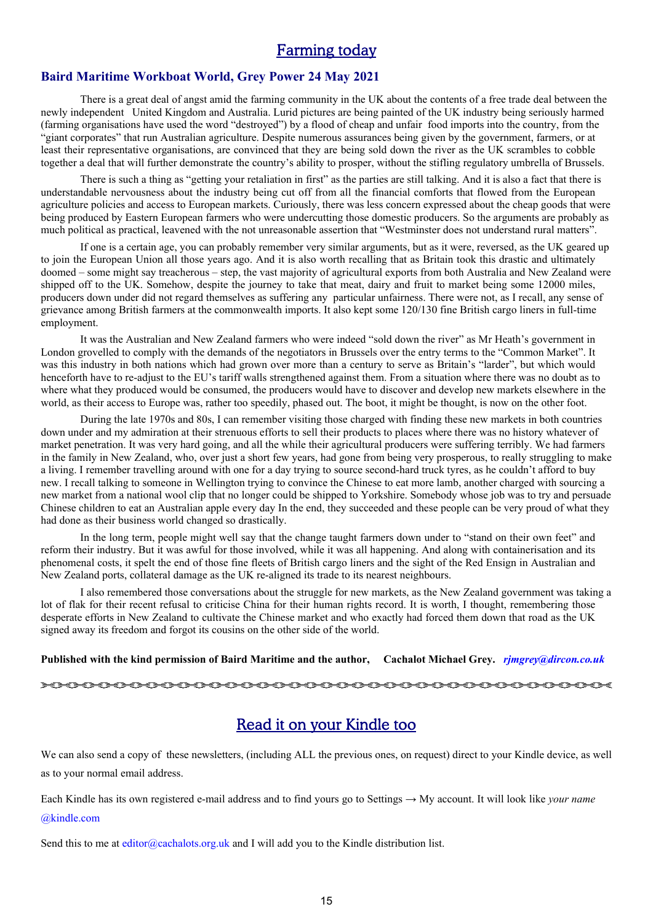# **Farming today**

### **Baird Maritime Workboat World, Grey Power 24 May 2021**

There is a great deal of angst amid the farming community in the UK about the contents of a free trade deal between the newly independent United Kingdom and Australia. Lurid pictures are being painted of the UK industry being seriously harmed (farming organisations have used the word "destroyed") by a flood of cheap and unfair food imports into the country, from the "giant corporates" that run Australian agriculture. Despite numerous assurances being given by the government, farmers, or at least their representative organisations, are convinced that they are being sold down the river as the UK scrambles to cobble together a deal that will further demonstrate the country's ability to prosper, without the stifling regulatory umbrella of Brussels.

There is such a thing as "getting your retaliation in first" as the parties are still talking. And it is also a fact that there is understandable nervousness about the industry being cut off from all the financial comforts that flowed from the European agriculture policies and access to European markets. Curiously, there was less concern expressed about the cheap goods that were being produced by Eastern European farmers who were undercutting those domestic producers. So the arguments are probably as much political as practical, leavened with the not unreasonable assertion that "Westminster does not understand rural matters".

If one is a certain age, you can probably remember very similar arguments, but as it were, reversed, as the UK geared up to join the European Union all those years ago. And it is also worth recalling that as Britain took this drastic and ultimately doomed – some might say treacherous – step, the vast majority of agricultural exports from both Australia and New Zealand were shipped off to the UK. Somehow, despite the journey to take that meat, dairy and fruit to market being some 12000 miles, producers down under did not regard themselves as suffering any particular unfairness. There were not, as I recall, any sense of grievance among British farmers at the commonwealth imports. It also kept some 120/130 fine British cargo liners in full-time employment.

It was the Australian and New Zealand farmers who were indeed "sold down the river" as Mr Heath's government in London grovelled to comply with the demands of the negotiators in Brussels over the entry terms to the "Common Market". It was this industry in both nations which had grown over more than a century to serve as Britain's "larder", but which would henceforth have to re-adjust to the EU's tariff walls strengthened against them. From a situation where there was no doubt as to where what they produced would be consumed, the producers would have to discover and develop new markets elsewhere in the world, as their access to Europe was, rather too speedily, phased out. The boot, it might be thought, is now on the other foot.

During the late 1970s and 80s, I can remember visiting those charged with finding these new markets in both countries down under and my admiration at their strenuous efforts to sell their products to places where there was no history whatever of market penetration. It was very hard going, and all the while their agricultural producers were suffering terribly. We had farmers in the family in New Zealand, who, over just a short few years, had gone from being very prosperous, to really struggling to make a living. I remember travelling around with one for a day trying to source second-hard truck tyres, as he couldn't afford to buy new. I recall talking to someone in Wellington trying to convince the Chinese to eat more lamb, another charged with sourcing a new market from a national wool clip that no longer could be shipped to Yorkshire. Somebody whose job was to try and persuade Chinese children to eat an Australian apple every day In the end, they succeeded and these people can be very proud of what they had done as their business world changed so drastically.

In the long term, people might well say that the change taught farmers down under to "stand on their own feet" and reform their industry. But it was awful for those involved, while it was all happening. And along with containerisation and its phenomenal costs, it spelt the end of those fine fleets of British cargo liners and the sight of the Red Ensign in Australian and New Zealand ports, collateral damage as the UK re-aligned its trade to its nearest neighbours.

I also remembered those conversations about the struggle for new markets, as the New Zealand government was taking a lot of flak for their recent refusal to criticise China for their human rights record. It is worth, I thought, remembering those desperate efforts in New Zealand to cultivate the Chinese market and who exactly had forced them down that road as the UK signed away its freedom and forgot its cousins on the other side of the world.

### **Published with the kind permission of Baird Maritime and the author, Cachalot Michael Grey.** *[rjmgrey@dircon.co.uk](mailto:rjmgrey@dircon.co.uk)*

# Read it on your Kindle too

We can also send a copy of these newsletters, (including ALL the previous ones, on request) direct to your Kindle device, as well as to your normal email address.

Each Kindle has its own registered e-mail address and to find yours go to Settings → My account. It will look like *your name* [@kindle.com](mailto:@kindle.com)

Send this to me at [editor@cachalots.org.uk](mailto:editor@cachalots.org.uk) and I will add you to the Kindle distribution list.